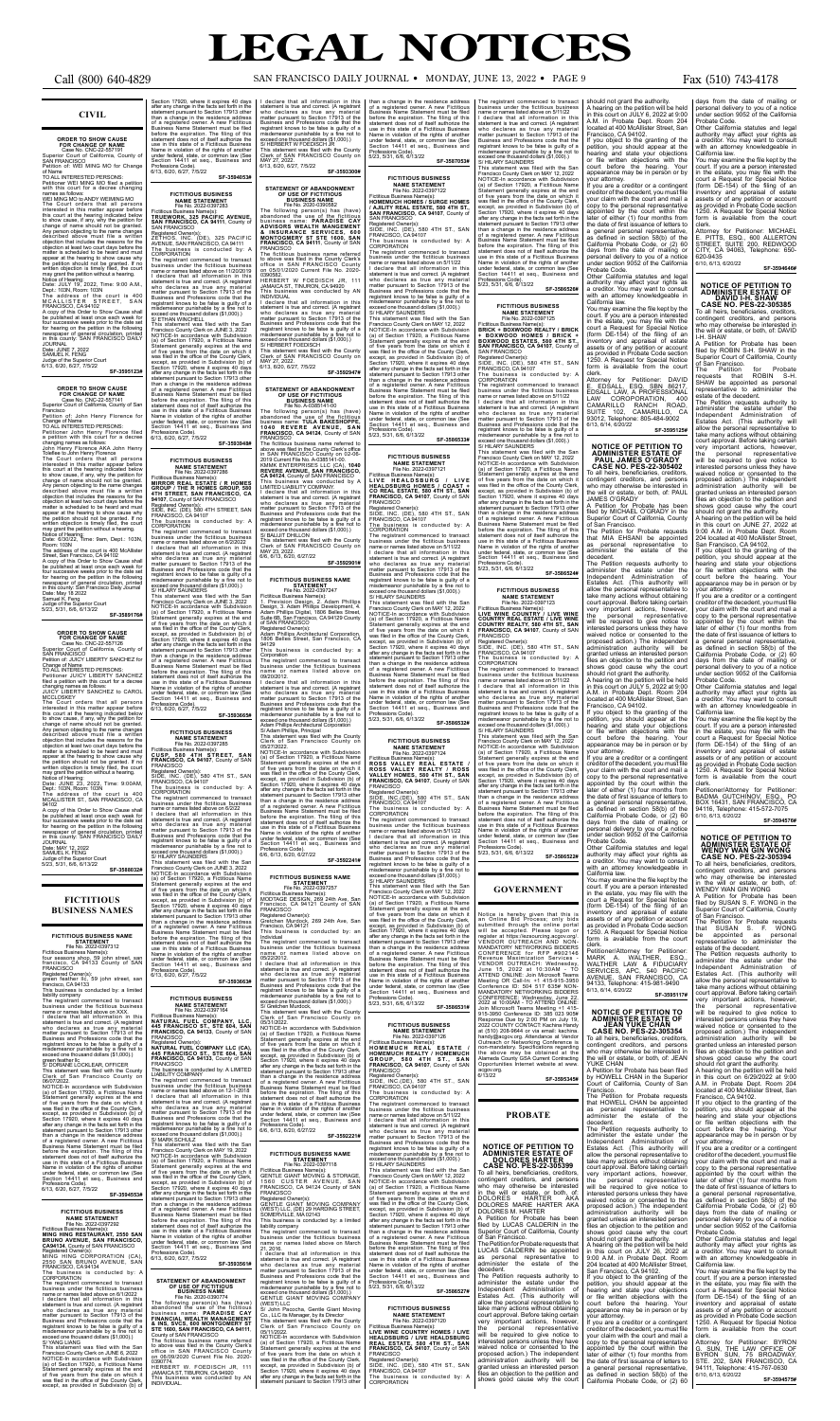## **CIVIL**

**ORDER TO SHOW CAUSE**<br>
Case No. CNC-22-557191<br>
Case No. CNC-22-557191<br>
Superior Court of California, County of<br>
SAN FRANCISCO<br>
Petition of: WEI MING MO for Change<br>
TOR CHAINGESCO POLIC INTERESTED PERSONS:<br>
TO ALL INTERESTE

**SF-3595123#**

## **ORDER TO SHOW CAUSE<br>FOR CHANGE OF NAME<br>Case No. CNC-22-557141<br>Superior Court of California, County of San**

Francisco Petition of: John Henry Florence for

Change of Name TO ALL INTERESTED PERSONS:

Petitioner John Henry Florence filed<br>a petition with this court for a decree

a petition with this court for a decree<br>changing names as follows:<br>John Henry Florence AKA John Henry<br>Toleflee to John Henry Florence AKA John Henry<br>The Court orders that all persons<br>interested in this matter appear before appear at the hearing to show cause why<br>the petition should not be granted. If no<br>written objection is timely filed, the court<br>may grant the petition without a hearing.<br>Notice of Hearing:<br>Date: 6/30/22, Time: 9am, Dept.: 1

Room: 103N<br>
The address of the court is 400 McAllister<br>
Street, San Francisco, CA 94102<br>
A copy of this Order to Show Cause shall<br>
A copy of this Order to Show Cause shall<br>
be published at least once each week for<br>
for nea

### **SF-3589176#**

**ORDER TO SHOW CAUSE**<br>
FOR CHANGE OF NAME<br>
Case No. CNC-22-557126<br>
Superior Court of California, County of<br>
SAN FRANCISCO<br>
Petition of: JUICY LIBERTY SANCHEZ for

Change of Name TO ALL INTERESTED PERSONS: Petitioner JUICY LIBERTY SANCHEZ filed a petition with this court for a decree changing names as follows:

JUICY LIBERTY SANCHEZ to CAROL<br>MCCLOSKEY<br>MCCLOSKEY<br>The Court orders that all persons<br>interseded in this matter appear before<br>this court at the hearing indicated below<br>the show cause, if any, why the petition for<br>change of

### **FICTITIOUS BUSINESS NAME STATEMENT** File No. 2022-0397283 **STATEMENT OF ABANDONMENT<br>OF USE OF FICTITIOUS<br>BUSINESS NAME<br>File No. 2020-0390582**

Date: JUNE 23, 2022, Time: 9:00AM, Dept.: 103N, Room: 103N The address of the court is 400 MCALLISTER ST., SAN FRANCISCO, CA 94102

A copy of this Order to Show Cause shall be published at least once each week for four successive weeks prior to the date set for hearing on the petition in the following newspaper of general circulation, printed<br>in this county: SAN FRANCISCO DAILY<br>JOURNAL<br>Date: MAY 12, 2022<br>SAMUEL K. FENG Judge of the Superior Court 5/23, 5/31, 6/6, 6/13/22

**SF-3588032#**

### **FICTITIOUS BUSINESS NAMES**

**FICTITIOUS BUSINESS NAME**<br>
File No. 2022-0397312<br>Fictitious Business Name(s):<br>Fictitious Business Name(s):<br>
four seasons shop, 59 john street, san<br>
francisco, CA 94133 County of SAN

FRANCISCO Registered Owner(s): green feather llc, 59 john street, san francisco, CA 94133

This business is conducted by: a limited<br>This business is conducted by: a limited<br>liability company<br>The registrant commenced to transact<br>business under the fictitious business<br>and me or name is ited above on XXX.<br>statement

S/DORIANE LOCKLEAR, OFFICER<br>This statement was filed with the County<br>Clerk of San Francisco County on<br>06/07/2022.<br>MORI2022.<br>MOTICE-In accordance with Subdivision<br>60/07/2022.<br>MOTICE-In accordance with Subdivision<br>61/07/102-Professions Code).<br>6/13, 6/20, 6/27, 7/5/22

**FICTITIOUS BUSINESS NAME STATEMENT**<br>File No. 2022-0397286

**NAME STATEMENT** File No. 2022-0397285 Fictitious Business Name(s):<br>**CUSP, 580 4TH STREET, SAN<br><b>FRANCISCO, CA 94107**, County of SAN<br>FRANCISCO

**SF-3594553#**

FICTITIOUS BUSINESS<br>
NAME STATEMENT<br>
Fiel No. 2022-0397292<br>
Frictitious Business Name(s):<br>
MING HING RESTAURANT, 2550 SAN<br>
BRUNO AVENUE, SAN FRANCISCO<br>
CA94134, County of SAN FRANCISCO<br>
MING HING CORPORATION (CA),<br>
MING HI

The registrant commenced to transact<br>business under the fictitious business<br>ame or names listed above on 6/1/2022<br>I declare that all information in this<br>statement is true and correct. (A registrant<br>who declares as true any Business and Professions code that the registrant knows to be false is guilty of a misdemeanor punishable by a fine not to exceed one thousand dollars (\$1,000).) exceed one thousand dollars (จา,บบบ*).)*<br>S/ YANG LIANG<br>This\_statement\_was\_filed\_with\_the\_Sar

**FICTITIOUS BUSINESS NAME STATEMENT<br>File No. 2022-0397164<br>Fictitious Business Name(s):** 

This statement was filed with the San Francisco County Clerk on JUNE 6, 2022 NOTICE-In accordance with Subdivision (a) of Section 17920, a Fictitious Name Statement generally expires at the end of five years from the date on which it was filed in the office of the County Clerk, except, as provided in Subdivision (b) of

This statement was filed with the San<br>Francisco County Clerk on MAY 19, 2022<br>NOTICE-In accordance with Subdivision<br>(a) of Section 17920, a Ficitious Name<br>Statement generally expires at the end<br>of five years from the date o except, as provided in Subdivision (b) of Section 17920, where it expires 40 days after any change in the facts set forth in the statement pursuant to Section 17913 other than a change in the residence address of a registered owner. A new Fictitious Business Name Statement must be filed before the expiration. The filing of this statement does not of itself authorize the use in this state of a Fictitious Business Name in violation of the rights of another under federal, state, or common law (See under federal, state, or cor Section 14411 et seq., Business and Professions Code). 6/13, 6/20, 6/27, 7/5/22

Section 17920, where it expires 40 days<br>after any change in the facts set of days<br>statement pursuant to Section 17913 other<br>than a change in the residence address<br>of a registered owner. A new Fictitious<br>Business Name State Professions Code).<br>6/13, 6/20, 6/27, 7/5/22 **SF-3594053#** I declare that all information in this<br>statement is true and correct. (A registrant<br>who declares as true any material<br>matter pursuant to Section 17913 of the<br>Business and Professions code that the<br>registrant knows to be fa MAY 27, 2022. 6/13, 6/20, 6/27, 7/5/22

Fictitious Business Name(s): **TRUEWORK, 325 PACIFIC AVENUE, SAN FRANCISCO, CA 94111**, County of SAN FRANCISCO

Registered Owner[s]:<br>
ZETHOS, INC. (DE), 325 PACIFIC<br>
ZETHOS, INC. (DE), 325 PACIFIC<br>
AVENUE, SAN FRANCISCO, CA 94111<br>
The business is conducted by: A<br>
CORPORATION<br>
Dissimiss conducted by: A<br>
CORPORATION<br>
business under th The fictitious business name referred to above was filed in the County Clerk's office in SAN FRANCISCO County on 05/01/2020 Current File No. 2020- 0390582. HERBERT W FOEDISCH JR, 111

except, as provided in Subdivision (b) of<br>Section 17920, where it expires 40 days<br>after any change in the facts set forth in the<br>statement pursuant to Section 17913 other Registered Owner(s): Adam Phillips Architectural Corporation, 1806 Belles Street, San Francisco, CA 94129 This business is conducted by: a

> 05/27/2022.<br>05/27/2022.<br>NOTICE-In accordance with Subdivision NOTICE-In accordance with Subdivision (a) of Section 17920, a Fictitious Name

The business is conducted by: A CORPORATION The registrant commenced to transact business under the fictitious business name or names listed above on 6/2/2022 I declare that all information in this statement is true and correct. (A registrant who declares as true any material matter pursuant to Section 17913 of the

> Professions Code).<br>6/6, 6/13, 6/20, 6/27/22 **SF-3592221#**

Fictitious Business Name(s):<br>GENTLE GIANT MOVING & STORAGE,<br>1560 CUSTER AVENUE, SAN<br>FRANCISCO, CA 94124 County of SAN FRANCISCO

statement is true and correct. (A registrant<br>who declares as true any material<br>matter pursuant to Section 17913 of the<br>Business and Professions code that the<br>registrant knows to be false is guilty of a<br>misdemeanor punishab exceed one thousand dollars (\$1,000).) GENTLE GIANT MOVING COMPANY

Professions Code). 6/13, 6/20, 6/27, 7/5/22

Registered Owner(s): SIDE, INC. (DE), 580 4TH ST., SAN FRANCISCO, CA 94107

The business is conducted by: A CORPORATION The registrant commenced to transact business under the fictitious business

than a change in the residence address<br>of a registered owner. A new Fictitious<br>Business Name Statement must be filed<br>before the expiration. The filing of this<br>statement does not of itself authorize the<br>use in this state of under federal, state, or common law (See Section 14411 et seq., Business and Professions Code). 5/23, 5/31, 6/6, 6/13/22 **SF-3587053#**

Fictitious Business Name(s):<br>**HOMEMUCH HOMES / SURGE HOMES<br><b>/ AJILITY REAL ESTATE, 580 4TH ST.,<br><b>SAN FRANCISCO, CA 94107**, County of SAN FRANCISCO

name or names listed above on 6/2/22 I declare that all information in this statement is true and correct. (A registrant who declares as true any material matter pursuant to Section 17913 of the Business and Professions code that the registrant knows to be false is guilty of a misdemeanor punishable by a fine not to exceed one thousand dollars (\$1,000).) S/ HILARY SAUNDERS

This statement was filed with the San Francisco County Clerk on JUNE 3, 2022 NOTICE-In accordance with Subdivision (a) of Section 17920, a Fictitious Name Statement generally expires at the end of five years from the date on which it<br>was filed in the office of the County Clerk,<br>except, as provided in Subdivision (b) of<br>Section 17920, where it expires 40 days<br>after any change in the facts set forth in the<br>statemen than a change in the residence address<br>of a registered owner. A new Fictitious<br>Business Name Statement must be filed<br>before the expiration. The filing of this<br>statement does not of itself authorize the use in this state of a Fictitious Business Name in violation of the rights of another under federal, state, or common law (See Section 14411 et seq., Business and Professions Code). 6/13, 6/20, 6/27, 7/5/22

**SF-3593663#**

**NATURAL FUEL COMPANY, LLC, 445 FRANCISCO ST., STE 604, SAN FRANCISCO, CA 94133**, County of SAN FRANCISCO

Registered Owner(s):<br>**NATURAL FUEL COMPANY LLC (CA),<br>445 <b>FRANCISCO ST., STE 604, SAN<br><b>FRANCISCO, CA 94133**, County of SAN<br>FRANCISCO

The business is conducted by: A LIMITED LIABILITY COMPANY

The registrant commenced to transact business under the fictitious business name or names listed above on 12-1-2018 I declare that all information in this statement is true and correct. (A registrant who declares as true any material matter pursuant to Section 17913 of the Business and Professions code that the registrant knows to be false is guilty of a misdemeanor punishable by a fine not to exceed one thousand dollars (\$1,000).) S/ MARK SCHULZ

Business and Professions code that the registrant knows to be false is guilty of a misdemeanor punishable by a fine not to exceed one thousand dollars (\$1,000).) S/ HILARY SAUNDERS This statement was filed with the San<br>Francisco County Clerk on JUNE 3, 2022<br>NOTICE-In accordance with Subdivision<br>(a) of Section 17920, a Ficitious Name<br>Statement generally expires at the end<br>of five years from the date o **FICTITIOUS BUSINESS NAME**<br>File No. 2022-0397247<br>Fictitious Business Name(s):<br>1. Prevision Design, 2. Adam Phillips<br>Design, 3. Adam Phillips Digital, 1806 Belles Street,<br>Adam Phillips Digital, 1806 Belles Street, Suite 6B, San Francisco, CA 94129 County of SAN FRANCISCO

### **FICTITIOUS BUSINESS NAME STATEMENT**<br>File No. 2022-0397126

Fictitious Business Name(s):<br>Fictitious Business Name(s):<br>**HOMEMUCH REALTY / HOMEMUCH<br><b>HOMEMUCH REALTY / HOMEMUCH<br>GROUP, 580 4TH ST., SAN<br><b>FRANCISCO, CA 94107**, County of SAN

FRANCISCO<br>Registered Owner(s):<br>SIDE, INC.(DE), 580 4TH ST., SAN<br>FRANCISCO, CA94107<br>The business is conducted by: A<br>CORPORATION

**SF-3593561#**

## **STATEMENT OF ABANDONMENT OF USE OF FICTITIOUS BUSINESS NAME**

File No. 2020-0390774<br>The following person(s) has (have)<br>abandoned the use of the fictitious<br>business name: **PARADISE CAY**<br>FINANCIAL WEALTH MANAGEMENT<br>FINANCIAL WEALTH MANAGEMENT<br>SITE 1600, SAN FRANCISCO, CA 94111,<br>County

than a change in the residence address of a registered owner. A new Fictitious Business Name Statement must be filed before the expiration. The filing of this statement does not of itself authorize the use in this state of a Fictitious Business Name in violation of the rights of another under federal, state, or common law (See Section 14411 et seq., Business and name or names listed above on 09/20/2012. I declare that all information in this statement is true and correct. (A registrant who declares as true any material matter pursuant to Section 17913 of the Business and Professions code that the registrant knows to be false is guilty of a misdemeanor punishable by a fine not to exceed one thousand dollars (\$1,000).)

**SF-3593665# FICTITIOUS BUSINESS** Adam Phillips Architectural Corporation

HERBERT W. FOEDISCH JR, 111 JAMAICA ST, TIBURON, CA 94920 This business was conducted by AN INDIVIDUAL.

**SF-3593300#**

FRANCISCO

I declare that all information in this<br>statement is true and correct. (A registrant<br>who declares as true any material<br>matter pursuant to Section 17913 of the<br>Business and Professions code that the<br>ergistrant knows to be fa

The following person(s) has (have)<br>abandoned the use of the fictitious<br>business name: PARADISE CAY<br>ADVISORS WEALTH MANGEMENT<br>& INSURANCE SERVICES, 600<br>MONTOGMERY ST STE 1600, SAN<br>FRANCISCO, CA 94111, County of SAN

SAN FRANCISCO<br>Registered Owner(s):<br>SIDE, INC. (DE), 580 4TH ST., SAN<br>FRANCISCO,CA94107<br>The business is conducted by: A<br>CORPORATION The registrant commenced to transact

JAMAICA ST., TINURON, CA 94920 This business was conducted by AN INDIVIDUAL

NOTICE-In accordance with Subdivision (a) of Section 17920, a Fictitious Name Statement generally expires at the end<br>of five years from the date on which it

of five years from the date on which it<br>was filed in the office of the County Clerk,<br>except, as provided in Subdivision (b) of<br>Section 17920, where it expires 40 days<br>after any change in the facts set forth in the<br>statemen

6/13, 6/20, 6/27, 7/5/22

before the expiration. The filing of this<br>statement does not of itself authorize the<br>use in this state of a Fictitious Business<br>Name in violation of the rights of another under federal, state, or common law (See Section 14411 et seq., Business and

File No. 2022-0397286<br>Fictitious Business Name(s):<br>MIRROR REAL ESTATE / R HOMES<br>GROUP / THE R HOMES GROUP, 580<br>4411 STREET, SAN FRANCISCO, CA<br>84407, County of SAN FRANCISCO<br>Registered Owner(s):<br>SIDE, INC. (DE), 580 4TH STR

**STATEMENT OF ABANDONMENT**<br> **OF USE OF FICTITIOUS**<br> **OF USE OF FICTITIOUS**<br> **EVALUATE AND A-0385414-00**<br>
The following person(s) has (have)<br>
abandoned the use of the fictitious<br>
business name: TULA BAKESHOPPE,<br> **PRANCISCO,** 

**SF-3592947#**

Registered Owner(s): SIDE, INC. (DE), 580 4TH ST., SAN FRANCISCO, CA 94107 risticition, oriential<br>The business is conducted by: A<br>CORPORATION

CORPORATION<br>The registrant commenced to transact<br>business under the fictitious business<br>name or names listed above on 5/11/22<br>I declare that all information in this<br>statement is true and correct. (A registrant<br>who declares

business is conducted by: A CORPORATION The registrant commenced to transact business under the fictitious business name or names listed above on 5/11/22 I declare that all information in this<br>statement is true and correct. (A registrant<br>who declares as true any material<br>matter pursuant to Section 17913 of the<br>Business and Professions code that the<br>registrant knows to be fa exceed one thousand dollars (\$1,000).) S/ HILARY SAUNDERS This statement was filed with the San Francisco County Clerk on MAY 12, 2022 NOTICE-In accordance with Subdivision<br>(a) of Section 17920, a Fictitious Name (a) of Section 17920, a Ficititious Name<br>Statement generally expires at the end<br>of five years from the date on which it<br>was filed in the office of the County Clerk,<br>except, as provided in Subdivision (b) of<br>Section 17920, than a change in the residence address of a registered owner. A new Fictitious Business Name Statement must be filed before the expiration. The filing of this statement does not of itself authorize the use in this state of a Fictitious Business Name in violation of the rights of another under federal, state, or common law (See Section 14411 et seq., Business and Professions Code). 5/23, 5/31, 6/6, 6/13/22 **SF-3586531#** than a change in the residence address of a registered owner. A new Fictitious

Clerk of SAN FRANCISCO County on MAY 23, 2022. 6/6, 6/13, 6/20, 6/27/22 **SF-3592901#**

Corporation The registrant commenced to transact business under the fictitious business

S/ Adam Phillips, Principal This statement was filed with the County Clerk of San Francisco County on

The registrant commenced to transact<br>business under the fictitious business<br>name or names listed above on 5/11/22<br>I declare that all information in this<br>statement is true and correct. (A registrant<br>who declares as true any Business and Professions code that the registrant knows to be false is guilty of a misdemeanor punishable by a fine not to misdemeanor punishable by a fine not<br>exceed one thousand dollars (\$1,000).) S/ HILARY SAUNDERS This statement was filed with the San should not grant the authority. A hearing on the petition will be held in this court on JULY 6, 2022 at 9:00 A.M. in Probate Dept. Room 204 located at 400 McAllister Street, San Francisco, CA 94102. If you object to the granting of the petition, you should appear at the hearing and state your objections or file written objections with the court before the hearing. Your appearance may be in person or by your attorney. If you are a creditor or a contingent

Statement generally expires at the end of five years from the date on which it was filed in the office of the County Clerk, except, as provided in Subdivision (b) of Section 17920, where it expires 40 days after any change in the facts set forth in the statement pursuant to Section 17913 other than a change in the residence address

Francisco County Clerk on MAY 12, 2022<br>NOTICE-In accordance with Subdivision<br>(a) of Section 17920, a Fictitious Name<br>Statement generally expires at the end<br>of five years from the date on which it<br>was filed in the office of statement pursuant to Section 17913 other than a change in the residence address of a registered owner. A new Fictitious Business Name Statement must be filed before the expiration. The filing of this statement does not of itself authorize the use in this state of a Fictitious Business Name in violation of the rights of another<br>under federal, state, or common law (See under federal, state, or common law (See Section 14411 et seq., Business and Professions Code). 5/23, 5/31, 6/6, 6/13/22 **SF-3586526#** creditor of the decedent, you must file your claim with the court and mail a copy to the personal representative appointed by the court within the later of either (1) four months from the date of first issuance of letters to a general personal representative, as defined in section 58(b) of the California Probate Code, or (2) 60 days from the date of mailing or personal delivery to you of a notice under section 9052 of the California Probate Code. Other California statutes and legal authority may affect your rights as a creditor. You may want to consult

with an attorney knowledgeable in California law. You may examine the file kept by the court. If you are a person interested

of a registered owner. A new Fictitious Business Name Statement must be filed before the expiration. The filing of this statement does not of itself authorize the use in this state of a Fictitious Business Name in violation of the rights of another under federal, state, or common law (See under federal, state, or com-Section 14411 et seq., Business and Professions Code). 6/6, 6/13, 6/20, 6/27/22

To all heirs, beneficiaries, creditors, contingent creditors, and persons who may otherwise be interested in the will or estate, or both, of: PAUL JAMES O'GRADY A Petition for Probate has been filed by MICHAEL O'GRADY in the Superior Court of California, County of San Francisco. The Petition for Probate requests that MIA EHSANI be appointed as personal representative to administer the estate of the

**SF-3592241#**

FICTITIOUS BUSINESS NAME<br>
File No. 2022-0397257<br>
Frictitious Business Name(s):<br>
Frictitious Business Name(s):<br>
MODTAGE DESIGN, 269 24th Ave, San<br>
Francisco, CA 94121 County of SAN<br>
FRANCISCO<br>
Registered Owner(s):<br>
Gretchen

Individual The registrant commenced to transact business under the fictitious business name or names listed above on 05/22/2012.

I declare that all information in this statement is true and correct. (A registrant who declares as true any material matter pursuant to Section 17913 of the registrant knows to be false is guilty of a misclerent move to t

of five years from the date on which it was filed in the office of the County Clerk, except, as provided in Subdivision (b) of Section 17920, where it expires 40 days after any change in the faction 17913 other statement p

The Petition requests authority to<br>administer the estate under the<br>Independent Administration of administer the estate under the Independent Administration of Estates Act. (This authority will allow the personal representative to take many actions without obtaining court approval. Before taking certain very important actions, however,<br>the personal representative the personal representative will be required to give notice to interested persons unless they have waived notice or consented to the proposed action.) The independent administration authority will be granted unless an interested person files an objection to the petition and shows good cause why the court

court before the hearing. Your appearance may be in person or by your attorney. If you are a creditor or a contingent creditor of the decedent, you must file your claim with the court and mail a copy to the personal representative appointed by the court within the later of either (1) four months from the date of first issuance of letters to

You may examine the file kept by the court. If you are a person interested in the estate, you may file with the court a Request for Special Notice (form DE-154) of the filing of an inventory and appraisal of estate assets or of any petition or account as provided in Probate Code section 1250. A Request for Special Notice form is available from the court clerk.<br>Petitioner/Attornev for Petitioner

Petitioner/Attorney for Petitioner:<br>MARK A. WALTHER, ESQ.,<br>WALTHER LAW & FIDUCIARY<br>SERVICES, APC, 540 PACIFIC<br>AVENUE, SAN FRANCISCO, CA 94133, Telephone: 415-981-9490

### **FICTITIOUS BUSINESS NAME STATEMENT** File No. 2022-0397118

The Petition requests authority to<br>administer the estate under the administer the estate under the Independent Administration of Estates Act. (This authority will allow the personal representative to take many actions without obtaining court approval. Before taking certain very important actions, however, the personal representative will be required to give notice to interested persons unless they have waived notice or consented to the proposed action.) The independent administration authority will be granted unless an interested person files an objection to the petition and shows good cause why the court

Registered Owner(s): GENTLE GIANT MOVING COMPANY (WEST) LLC, (DE) 29 HARDING STREET, SOMERVILLE, MA 02143 This business is conducted by: a limited

liability company The registrant commenced to transact business under the fictitious business name or names listed above on March 21, 2016. I declare that all information in this

(WEST) LLC S/ John Pacocha, Gentle Giant Moving Co., LLC its Manager, by its Director This statement was filed with the County Clerk of San Francisco County on

05/11/2022. NOTICE-In accordance with Subdivision (a) of Section 17920, a Fictitious Name Statement generally expires at the end

of five years from the date on which it was filed in the office of the County Clerk, except, as provided in Subdivision (b) of Section 17920, where it expires 40 days after any change in the facts set forth in the statement pursuant to Section 17913 other

representative to administer the<br>estate of the decedent.<br>The Petition requests authority to<br>administer the estate under the<br>Independent Administration of<br>Estates Act. (This authority will<br>allow the personal representative take many actions without obtaining court approval. Before taking certain very important actions, however,

### **FICTITIOUS BUSINESS NAME STATEMENT** File No. 2022-0397122

Registered Owner(s): SIDE, INC. (DE), 580 4TH ST., SAN FRANCISCO, CA 94107

The business is conducted by: A CORPORATION

The registrant commenced to transact<br>business under the fictitious busines<br>name or names listed above on 5/11/22<br>I declare that all information in this<br>statement is true and correct. (A registrant<br>who declares as true any

This statement was filed with the San Francisco County Clerk on MAY 12, 2022 NOTICE-In accordance with Subdivision (a) of Section 17920, a Fictitious Name Statement generally expires at the end<br>of five years from the date on which it<br>was filed in the office of the County Clerk,<br>except, as provided in Subdivision (b) of<br>Section 17920, where it expires 40 days<br>after any change than a change in the residence address of a registered owner. A new Fictitious Business Name Statement must be filed before the expiration. The filing of this statement does not of itself authorize the use in this state of a Fictitious Business Name in violation of the rights of another under federal, state, or common law (See

Section 14411 et seq., Business and Professions Code). 5/23, 5/31, 6/6, 6/13/22 **SF-3586533#**

### **FICTITIOUS BUSINESS NAME STATEMENT**

File No. 2022-0397121<br>Fictitious Business Name(s):<br>LIVE HEALDS BURG / LIVE<br>HEALDSBURG HOMES / COAST +<br>COREAL ESTATE, 580 4TH ST., SAN<br>FRANCISCO, CA 94107, County of SAN<br>FRANCISCO

Registered Owner(s):<br>SIDE, INC. (DE), 580 4TH ST., SAN<br>FRANCISCO, CA 94107<br>The business is conducted by: A<br>CORPORATION

The registrant commenced to transact business under the fictitious business name or names listed above on 5/11/22 I declare that all information in this statement is true and correct. (A registrant who declares as true any material matter pursuant to Section 17913 of the

Business and Professions code that the registrant knows to be false is guilty of a misdemeanor punishable by a fine not to exceed one thousand dollars (\$1,000).) S/ HILARY SAUNDERS

This statement was filed with the San Francisco County Clerk on MAY 12, 2022 NOTICE-In accordance with Subdivision (a) of Section 17920, a Fictitious Name Statement generally expires at the end of five years from the date on which it was filed in the office of the County Clerk, except, as provided in Subdivision (b) of Section 17920, where it expires 40 days after any change in the facts set forth in the statement pursuant to Section 17913 other<br>than a change in the residence address<br>of a registered owner. A new Fictitious<br>Business Name Statement must be filed<br>before the expiration. The filing of this<br>statement does not of Professions Code). 5/23, 5/31, 6/6, 6/13/22 **SF-3586532#**

## **FICTITIOUS BUSINESS**

**NAME STATEMENT<br>File No. 2022-0397124<br>Fictitious Business Name(s):<br>ROSS VALLEY REAL ESTATE /<br>ROSS VALLEY HOMES, 580 4TH ST., SAN<br>VALLEY HOMES, 580 4TH ST., SAN<br>FRANCISCO, CA 94107, County of SAN** 

FRANCISCO Registered Owner(s): SIDE, INC.(DE), 580 4TH ST., SAN FRANCISCO, CA 94107

The registrant commenced to transact business under the fictitious business name or names listed above on 5/11/22 I declare that all information in this statement is true and correct. (A registrant who declares as true any material matter pursuant to Section 17913 of the Business and Professions code that the

registrant knows to be false is guilty of a misdemeanor punishable by a fine not to exceed one thousand dollars (\$1,000).) S/ HILARY SAUNDERS

This statement was filed with the San Francisco County Clerk on MAY 12, 2022 NOTICE-In accordance with Subdivision (a) of Section 17920, a Fictitious Name Statement generally expires at the end of five years from the date on which it was filed in the office of the County Clerk, except, as provided in Subdivision (b) of Section 17920, where it expires 40 days after any change in the facts set forth in the statement pursuant to Section 17913 other than a change in the residence address of a registered owner. A new Fictitious Business Name Statement must be filed before the expiration. The filing of this<br>statement does not of itself authorize the<br>use in this state of a Ficitious Business<br>Name in violation of the rights of another<br>under federal, state, or common law (See<br>Section 144 Professions Code). 5/23, 5/31, 6/6, 6/13/22 **SF-3586527#**

## **FICTITIOUS BUSINESS**

NAME STATEMENT<br>File No. 2022-0397120<br>Fictitious Business Name(s):<br>LIVE WINE COUNTRY HOMES / LIVE<br>REAL ESTATE, 580 4TH ST., SAN<br>REAL ESTATE, 580 4TH ST., SAN<br>FRANCISCO, CA 94107, County of SAN **FRANCISCC** 

Registered Owner(s): SIDE, INC. (DE), 580 4TH ST., SAN FRANCISCO, CA 94107

The business is conducted by: A CORPORATION

## **FICTITIOUS BUSINESS NAME STATEMENT**

Fictitious Business Name(s):<br>BRICK + BOXWOOD REALTY / BRICK<br>**+ BOXWOOD HOMES / BRICK +**<br>**+ BOXWOOD HOMES / BRICK +<br>BOXWOOD ESTATES, 580 4TH ST.,<br>SAN FRANCISCO, CA 94107, County of** 

business under the fictitious business name or names listed above on 5/11/22 I declare that all information in this statement is true and correct. (A registrant who declares as true any material

matter pursuant to Section 17913 of the<br>Business and Professions code that the<br>registrant knows to be false is guilty of a<br>misdemeanor punishable by a fine not to<br>exceed one thousand dollars (\$1,000).)<br>S/ HILARY SAUNDERS<br>T

5/23, 5/31, 6/6, 6/13/22 **SF-3586524#**

**FICTITIOUS BUSINESS NAME STATEMENT** File No. 2022-0397123

Fictitious Business Name(s):<br>LIVE WINE COUNTRY / LIVE WINE<br>COUNTRY REAL ESTATE / LIVE WINE<br>COUNTRY REALTY, 580 4TH ST., SAN<br>**FRANCISCO, CA 94107**, County of SAN

FRANCISCO

Business and Professions code that the registrant knows to be false is guilty of a misdemeanor punishable by a fine not to exceed one thousand dollars (\$1,000).)

S/HILARY SAUNDERS<br>This statement was filed with the San<br>Trians identify as filed with the San<br>Francisco County Clerk on MAY 12, 2022<br>NOTICE-In accordance with Subdivision<br>(a) of Section 17920, a Fictitious Name<br>Statement g

Business Name Statement must be filed before the expiration. The filing of this statement does not of itself authorize the use in this state of a Fictitious Business Name in violation of the rights of another under federal, state, or common law (See Section 14411 et seq., Business and

Professions Code). 5/23, 5/31, 6/6, 6/13/22 **SF-3586522#**

## **GOVERNMENT**

Notice is hereby given that this is an Online Bid Process; only bids submitted through the online portal will be accepted. Please logon or register at https://ezsourcing.acgov.org/.<br>VENDOR OUTREACH AND NON-<br>MANDATORY NETWORKING BIDDERS<br>CONFERENCE for RFP #902146 Revenue Maximization Services -<br>VENDOR OUTREACH: Wednesday,<br>June 15, 2022 at 10:30AM - TO<br>ATTEND ONLINE: Join Microsoft Teams Meeting OR Call-In: +1 415-915-3950 Conference ID: 504 517 635# NON-MANDATORY NETWORKING BIDDERS<br>CONFERENCE: Wednesday, June 22,<br>2022 at 10:00AM - TO ATTEND ONLINE:<br>Join Microsoft Teams Meeting +1 415-<br>915-3950 Conference ID: 385 023 905#<br>Response Due by 2:00 PM on July 19,<br>2022 COUNTY CON Outreach or Networking Conference is non-mandatory. Specifications regarding the above may be obtained at the Alameda County GSA Current Contracting Opportunities Internet website at www acgov.org.<br>6/13/22 6/13/22 **SF-3595345#**

**PROBATE**

## **NOTICE OF PETITION TO ADMINISTER ESTATE OF**

**DOLORES HARTER CASE NO. PES-22-305399**

To all heirs, beneficiaries, creditors, contingent creditors, and persons who may otherwise be interested in the will or estate, or both, of: DOLORES HARTER AKA DOLORES MARIE HARTER AKA DOLORES M. HARTER

A Petition for Probate has been filed by LUCAS CALDERIN in the Superior Court of California, County of San Francisco.

The Petition for Probate requests that LUCAS CALDERIN be appointed as personal representative to administer the estate of the decedent.

The Petition requests authority to administer the estate under the Independent Administration of Estates Act. (This authority will allow the personal representative to take many actions without obtaining court approval. Before taking certain very important actions, however, representative will be required to give notice to interested persons unless they have waived notice or consented to the proposed action.) The independent administration authority will be granted unless an interested person files an objection to the petition and shows good cause why the court

in the estate, you may file with the court a Request for Special Notice (form DE-154) of the filing of an inventory and appraisal of estate assets or of any petition or account as provided in Probate Code section

1250. A Request for Special Notice form is available from the court

clerk.

Attorney for Petitioner: DAVID E. EDSALL, ESQ. SBN 86217, EDSALL LAW, A PROFESSIONAL LAW COROPORATION, 400 CAMARILLO RANCH ROAD, SUITE 102, CAMARILLO, CA 93012, Telephone: 805-484-9002 6/13, 6/14, 6/20/22 **SF-3595125#**

**NOTICE OF PETITION TO ADMINISTER ESTATE OF PAUL JAMES O'GRADY CASE NO. PES-22-305402**

decedent.

Professions Code).<br>5/23, 5/31, 6/6, 6/13/22

Francisco, CA 94102.

a general personal representative, as defined in section 58(b) of the California Probate Code, or (2) 60 days from the date of mailing or personal delivery to you of a notice under section 9052 of the California Probate Code.

Other California statutes and legal authority may affect your rights as a creditor. You may want to consult with an attorney knowledgeable in California law.

6/13, 6/14, 6/20/22 **SF-3595117#**

## **NOTICE OF PETITION TO ADMINISTER ESTATE OF JEAN YUKE CHAN CASE NO. PES-22-305354**

To all heirs, beneficiaries, creditors, contingent creditors, and persons who may otherwise be interested in the will or estate, or both, of: JEAN YUKE CHAN

A Petition for Probate has been filed by HOWELL CHAN in the Superior Court of California, County of San Francisco.

The Petition for Probate requests that HOWELL CHAN be appointed<br>as personal representative to as personal representative administer the estate of the decedent.

should not grant the authority. A hearing on the petition will be held in this court on JULY 26, 2022 at 9:00 A.M. in Probate Dept. Room 204 located at 400 McAllister Street, San Francisco, CA 94102.

If you object to the granting of the petition, you should appear at the hearing and state your objections or file written objections with the court before the hearing. Your appearance may be in person or by your attorney. If you are a creditor or a contingent

should not grant the authority. A hearing on the petition will be held in this court on JULY 5, 2022 at 9:00 A.M. in Probate Dept. Room 204 located at 400 McAllister Street, San If you object to the granting of the petition, you should appear at the hearing and state your objections or file written objections with the Probate Code. Other California statutes and legal authority may affect your rights as a creditor. You may want to consult with an attorney knowledgeable in California law.

creditor of the decedent, you must file your claim with the court and mail a copy to the personal representative appointed by the court within the later of either (1) four months from the date of first issuance of letters to a general personal representative, as defined in section 58(b) of the California Probate Code, or (2) 60 days from the date of mailing or personal delivery to you of a notice under section 9052 of the California Probate Code.

Other California statutes and legal authority may affect your rights as a creditor. You may want to consult with an attorney knowledgeable in California law.

You may examine the file kept by the court. If you are a person interested in the estate, you may file with the court a Request for Special Notice (form DE-154) of the filing of an inventory and appraisal of estate assets or of any petition or account as provided in Probate Code section 1250. A Request for Special Notice form is available from the court

clerk. Attorney for Petitioner: MICHAEL E. PITTS, ESQ., 600 ALLERTON STREET, SUITE 200, REDWOOD CITY, CA 94063, Telephone: 650- 620-9435

6/10, 6/13, 6/20/22 **SF-3594646#**

**NOTICE OF PETITION TO ADMINISTER ESTATE OF DAVID I-H. SHAW CASE NO. PES-22-305385**

To all heirs, beneficiaries, creditors, contingent creditors, and persons who may otherwise be interested in the will or estate, or both, of: DAVID I-H. SHAW

A Petition for Probate has been filed by ROBIN S-H. SHAW in the

Superior Court of California, County of San Francisco. The Petition for Probate requests that ROBIN S-H. SHAW be appointed as personal

the personal representative will be required to give notice to interested persons unless they have waived notice or consented to the proposed action.) The independent administration authority will be granted unless an interested person files an objection to the petition and shows good cause why the court

should not grant the authority. A hearing on the petition will be held in this court on JUNE 27, 2022 at 9:00 A.M. in Probate Dept. Room 204 located at 400 McAllister Street, San Francisco, CA 94102.

If you object to the granting of the petition, you should appear at the hearing and state your objections or file written objections with the court before the hearing. Your appearance may be in person or by

your attorney. If you are a creditor or a contingent creditor of the decedent, you must file your claim with the court and mail a copy to the personal representative appointed by the court within the later of either (1) four months from the date of first issuance of letters to a general personal representative, as defined in section 58(b) of the California Probate Code, or (2) 60 days from the date of mailing or personal delivery to you of a notice under section 9052 of the California

You may examine the file kept by the court. If you are a person interested in the estate, you may file with the court a Request for Special Notice (form DE-154) of the filing of an inventory and appraisal of estate assets or of any petition or account as provided in Probate Code section 1250. A Request for Special Notice form is available from the court

clerk. Petitioner/Attorney for Petitioner: BADMA GUTCHINOV, ESQ., PO<br>BOX 16431, SAN FRANCISCO, CA 94116, Telephone: 415-572-7075

6/10, 6/13, 6/20/22 **SF-3594576#**

**NOTICE OF PETITION TO ADMINISTER ESTATE OF WENDY WAN GIN WONG CASE NO. PES-22-305394** To all heirs, beneficiaries, creditors,

contingent creditors, and persons who may otherwise be interested in the will or estate, or both, of: WENDY WAN GIN WONG

A Petition for Probate has been filed by SUSAN S. F. WONG in the Superior Court of California, County of San Francisco.

The Petition for Probate requests that SUSAN S. F. WONG be appointed as personal representative to administer the estate of the decedent.

The Petition requests authority to administer the estate under the Independent Administration of Estates Act. (This authority will allow the personal representative to take many actions without obtaining court approval. Before taking certain very important actions, however,

the personal representative will be required to give notice to interested persons unless they have waived notice or consented to the proposed action.) The independent administration authority will be granted unless an interested person files an objection to the petition and shows good cause why the court should not grant the authority.

A hearing on the petition will be held in this court on 6/29/2022 at 9:00 A.M. in Probate Dept. Room 204 located at 400 McAllister Street, San Francisco, CA 94102.

If you object to the granting of the petition, you should appear at the hearing and state your objections or file written objections with the court before the hearing. Your appearance may be in person or by

your attorney. If you are a creditor or a contingent creditor of the decedent, you must file your claim with the court and mail a copy to the personal representative appointed by the court within the later of either (1) four months from the date of first issuance of letters to a general personal representative, defined in section 58(b) of the California Probate Code, or (2) 60 days from the date of mailing personal delivery to you of a notice under section 9052 of the California Probate Code.

Other California statutes and legal authority may affect your rights as a creditor. You may want to consult with an attorney knowledgeable in California law.

You may examine the file kept by the court. If you are a person interested in the estate, you may file with the court a Request for Special Notice (form DE-154) of the filing of an inventory and appraisal of estate assets or of any petition or account as provided in Probate Code section 1250. A Request for Special Notice form is available from the court clerk.

Attorney for Petitioner: BYRON G. SUN, THE LAW OFFICE OF BYRON SUN, 75 BROADWAY, STE. 202, SAN FRANCISCO, CA 94111, Telephone: 415-767-0630 6/10, 6/13, 6/20/22 **SF-3594575#**

# **LEGAL NOTICES**

Call (800) 640-4829 san francisco Daily Journal •MONDAY, JUNE 13, 2022 •Page 9 Fax (510) 743-4178